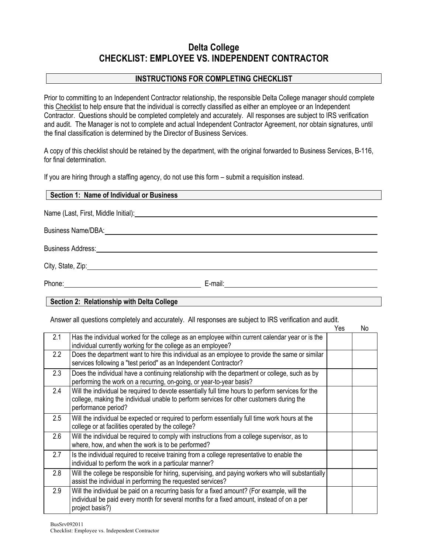## **Delta College CHECKLIST: EMPLOYEE VS. INDEPENDENT CONTRACTOR**

## **INSTRUCTIONS FOR COMPLETING CHECKLIST**

Prior to committing to an Independent Contractor relationship, the responsible Delta College manager should complete this Checklist to help ensure that the individual is correctly classified as either an employee or an Independent Contractor. Questions should be completed completely and accurately. All responses are subject to IRS verification and audit. The Manager is not to complete and actual Independent Contractor Agreement, nor obtain signatures, until the final classification is determined by the Director of Business Services.

A copy of this checklist should be retained by the department, with the original forwarded to Business Services, B-116, for final determination.

If you are hiring through a staffing agency, do not use this form – submit a requisition instead.

# **Section 1: Name of Individual or Business** Name (Last, First, Middle Initial): Business Name/DBA: Business Address: City, State, Zip: Phone: E-mail: E-mail: E-mail: E-mail: E-mail: E-mail: E-mail: E-mail: E-mail: E-mail: E-mail: E-mail: E-mail: E-mail: E-mail: E-mail: E-mail: E-mail: E-mail: E-mail: E-mail: E-mail: E-mail: E-mail: E-mail: E-mail: E-mail:

### **Section 2: Relationship with Delta College**

Answer all questions completely and accurately. All responses are subject to IRS verification and audit.

|              |                                                                                                                                                                                                                      | Yes | No |
|--------------|----------------------------------------------------------------------------------------------------------------------------------------------------------------------------------------------------------------------|-----|----|
| 2.1          | Has the individual worked for the college as an employee within current calendar year or is the<br>individual currently working for the college as an employee?                                                      |     |    |
| $2.2\degree$ | Does the department want to hire this individual as an employee to provide the same or similar<br>services following a "test period" as an Independent Contractor?                                                   |     |    |
| 2.3          | Does the individual have a continuing relationship with the department or college, such as by<br>performing the work on a recurring, on-going, or year-to-year basis?                                                |     |    |
| 2.4          | Will the individual be required to devote essentially full time hours to perform services for the<br>college, making the individual unable to perform services for other customers during the<br>performance period? |     |    |
| 2.5          | Will the individual be expected or required to perform essentially full time work hours at the<br>college or at facilities operated by the college?                                                                  |     |    |
| 2.6          | Will the individual be required to comply with instructions from a college supervisor, as to<br>where, how, and when the work is to be performed?                                                                    |     |    |
| 2.7          | Is the individual required to receive training from a college representative to enable the<br>individual to perform the work in a particular manner?                                                                 |     |    |
| 2.8          | Will the college be responsible for hiring, supervising, and paying workers who will substantially<br>assist the individual in performing the requested services?                                                    |     |    |
| 2.9          | Will the individual be paid on a recurring basis for a fixed amount? (For example, will the<br>individual be paid every month for several months for a fixed amount, instead of on a per<br>project basis?)          |     |    |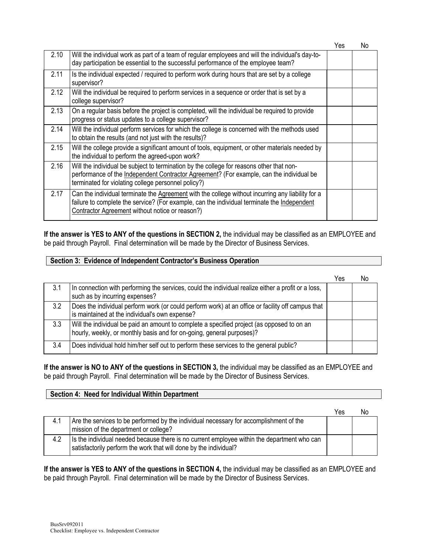Yes No

| 2.10 | Will the individual work as part of a team of regular employees and will the individual's day-to-<br>day participation be essential to the successful performance of the employee team?                                                             |  |
|------|-----------------------------------------------------------------------------------------------------------------------------------------------------------------------------------------------------------------------------------------------------|--|
| 2.11 | Is the individual expected / required to perform work during hours that are set by a college<br>supervisor?                                                                                                                                         |  |
| 2.12 | Will the individual be required to perform services in a sequence or order that is set by a<br>college supervisor?                                                                                                                                  |  |
| 2.13 | On a regular basis before the project is completed, will the individual be required to provide<br>progress or status updates to a college supervisor?                                                                                               |  |
| 2.14 | Will the individual perform services for which the college is concerned with the methods used<br>to obtain the results (and not just with the results)?                                                                                             |  |
| 2.15 | Will the college provide a significant amount of tools, equipment, or other materials needed by<br>the individual to perform the agreed-upon work?                                                                                                  |  |
| 2.16 | Will the individual be subject to termination by the college for reasons other that non-<br>performance of the Independent Contractor Agreement? (For example, can the individual be<br>terminated for violating college personnel policy?)         |  |
| 2.17 | Can the individual terminate the Agreement with the college without incurring any liability for a<br>failure to complete the service? (For example, can the individual terminate the Independent<br>Contractor Agreement without notice or reason?) |  |

**If the answer is YES to ANY of the questions in SECTION 2,** the individual may be classified as an EMPLOYEE and be paid through Payroll. Final determination will be made by the Director of Business Services.

#### **Section 3: Evidence of Independent Contractor's Business Operation**

|     |                                                                                                                                                                     | Yes | No |
|-----|---------------------------------------------------------------------------------------------------------------------------------------------------------------------|-----|----|
| 3.1 | In connection with performing the services, could the individual realize either a profit or a loss,<br>such as by incurring expenses?                               |     |    |
| 3.2 | Does the individual perform work (or could perform work) at an office or facility off campus that<br>is maintained at the individual's own expense?                 |     |    |
| 3.3 | Will the individual be paid an amount to complete a specified project (as opposed to on an<br>hourly, weekly, or monthly basis and for on-going, general purposes)? |     |    |
| 3.4 | Does individual hold him/her self out to perform these services to the general public?                                                                              |     |    |

**If the answer is NO to ANY of the questions in SECTION 3,** the individual may be classified as an EMPLOYEE and be paid through Payroll. Final determination will be made by the Director of Business Services.

#### **Section 4: Need for Individual Within Department**

|     |                                                                                                                                                                  | Yes | No |
|-----|------------------------------------------------------------------------------------------------------------------------------------------------------------------|-----|----|
| 4.1 | Are the services to be performed by the individual necessary for accomplishment of the<br>mission of the department or college?                                  |     |    |
| 4.2 | Is the individual needed because there is no current employee within the department who can<br>satisfactorily perform the work that will done by the individual? |     |    |

**If the answer is YES to ANY of the questions in SECTION 4,** the individual may be classified as an EMPLOYEE and be paid through Payroll. Final determination will be made by the Director of Business Services.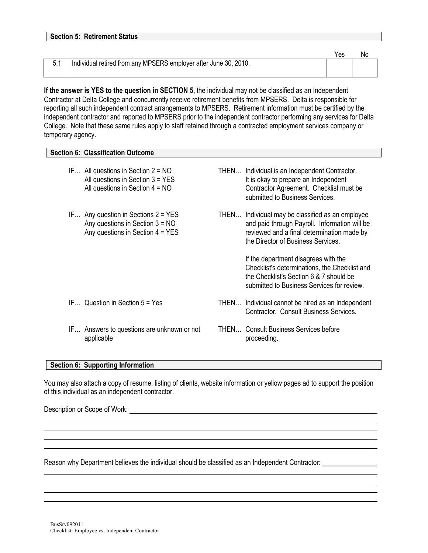| <b>Section 5: Retirement Status</b> |                                                                  |     |    |
|-------------------------------------|------------------------------------------------------------------|-----|----|
|                                     |                                                                  | Yes | No |
| 5.1                                 | Individual retired from any MPSERS employer after June 30, 2010. |     |    |

**If the answer is YES to the question in SECTION 5, the individual may not be classified as an Independent** Contractor at Delta College and concurrently receive retirement benefits from MPSERS. Delta is responsible for reporting all such independent contract arrangements to MPSERS. Retirement information must be certified by the independent contractor and reported to MPSERS prior to the independent contractor performing any services for Delta College. Note that these same rules apply to staff retained through a contracted employment services company or temporary agency.

#### **Section 6: Classification Outcome**

| IF All questions in Section $2 = NO$<br>All questions in Section $3 = YES$<br>All questions in Section $4 = NO$  | THEN Individual is an Independent Contractor.<br>It is okay to prepare an Independent<br>Contractor Agreement. Checklist must be<br>submitted to Business Services.                   |
|------------------------------------------------------------------------------------------------------------------|---------------------------------------------------------------------------------------------------------------------------------------------------------------------------------------|
| IF Any question in Sections $2 = YES$<br>Any questions in Section $3 = NO$<br>Any questions in Section $4 = YES$ | THEN Individual may be classified as an employee<br>and paid through Payroll. Information will be<br>reviewed and a final determination made by<br>the Director of Business Services. |
|                                                                                                                  | If the department disagrees with the<br>Checklist's determinations, the Checklist and<br>the Checklist's Section 6 & 7 should be<br>submitted to Business Services for review.        |
| $IF$ Question in Section $5 = Yes$                                                                               | THEN Individual cannot be hired as an Independent<br>Contractor. Consult Business Services.                                                                                           |
| IF Answers to questions are unknown or not<br>applicable                                                         | <b>THEN Consult Business Services before</b><br>proceeding.                                                                                                                           |

#### **Section 6: Supporting Information**

You may also attach a copy of resume, listing of clients, website information or yellow pages ad to support the position of this individual as an independent contractor.

Description or Scope of Work: **Example 2018** 2019 2019 2020 2021 2022 2023 2024 2022 2023 2024 2022 2023 2024 2022 2023 2024 2022 2023 2022 2023 2024 2022 2023 2024 2022 2023 2024 2022 2023 2024 2022 2023 2024 2023 2024 20

Reason why Department believes the individual should be classified as an Independent Contractor: